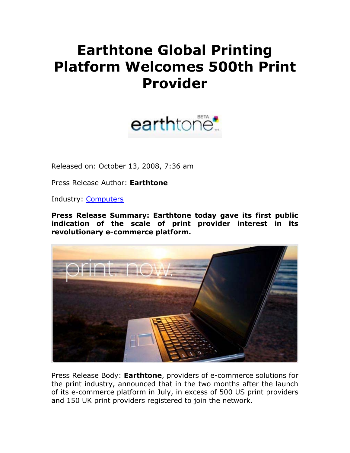## **Earthtone Global Printing Platform Welcomes 500th Print Provider**



Released on: October 13, 2008, 7:36 am

Press Release Author: **Earthtone**

Industry: Computers

**Press Release Summary: Earthtone today gave its first public indication of the scale of print provider interest in its revolutionary e-commerce platform.**



Press Release Body: **Earthtone**, providers of e-commerce solutions for the print industry, announced that in the two months after the launch of its e-commerce platform in July, in excess of 500 US print providers and 150 UK print providers registered to join the network.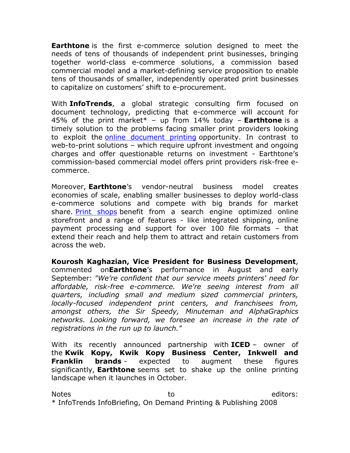**Earthtone** is the first e-commerce solution designed to meet the needs of tens of thousands of independent print businesses, bringing together world-class e-commerce solutions, a commission based commercial model and a market-defining service proposition to enable tens of thousands of smaller, independently operated print businesses to capitalize on customers' shift to e-procurement.

With **InfoTrends**, a global strategic consulting firm focused on document technology, predicting that e-commerce will account for 45% of the print market\* – up from 14% today – **Earthtone** is a timely solution to the problems facing smaller print providers looking to exploit the **online document printing** opportunity. In contrast to web-to-print solutions – which require upfront investment and ongoing charges and offer questionable returns on investment - Earthtone's commission-based commercial model offers print providers risk-free ecommerce.

Moreover, **Earthtone**'s vendor-neutral business model creates economies of scale, enabling smaller businesses to deploy world-class e-commerce solutions and compete with big brands for market share. Print shops benefit from a search engine optimized online storefront and a range of features - like integrated shipping, online payment processing and support for over 100 file formats – that extend their reach and help them to attract and retain customers from across the web.

**Kourosh Kaghazian, Vice President for Business Development**, commented on**Earthtone**'s performance in August and early September: *"We're confident that our service meets printers' need for affordable, risk-free e-commerce. We're seeing interest from all quarters, including small and medium sized commercial printers, locally-focused independent print centers, and franchisees from, amongst others, the Sir Speedy, Minuteman and AlphaGraphics networks. Looking forward, we foresee an increase in the rate of registrations in the run up to launch."*

With its recently announced partnership with **ICED** – owner of the **Kwik Kopy, Kwik Kopy Business Center, Inkwell and Franklin brands** - expected to augment these figures significantly, **Earthtone** seems set to shake up the online printing landscape when it launches in October.

Notes editors: to to the editors: \* InfoTrends InfoBriefing, On Demand Printing & Publishing 2008